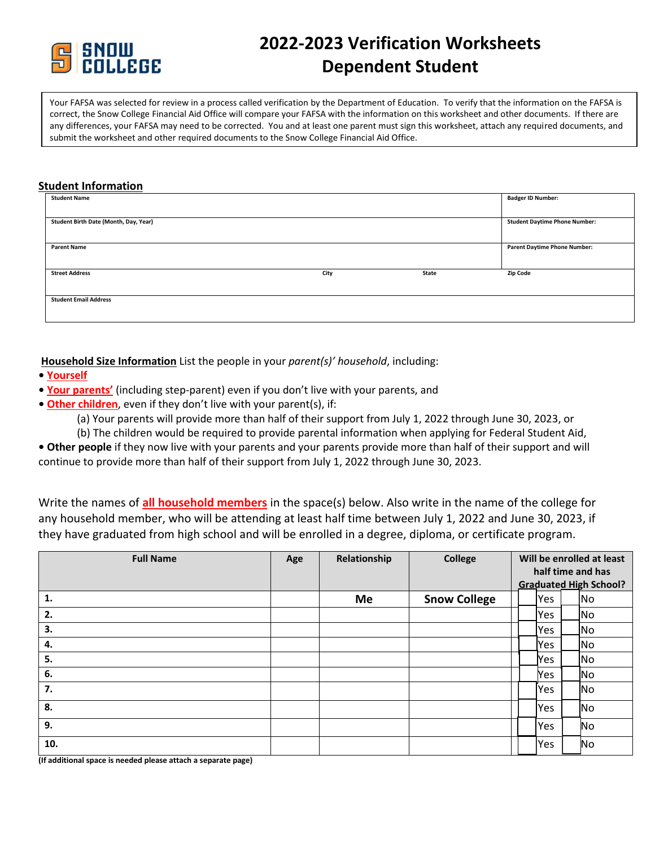

# **2022-2023 Verification Worksheets Dependent Student**

Your FAFSA was selected for review in a process called verification by the Department of Education. To verify that the information on the FAFSA is correct, the Snow College Financial Aid Office will compare your FAFSA with the information on this worksheet and other documents. If there are any differences, your FAFSA may need to be corrected. You and at least one parent must sign this worksheet, attach any required documents, and submit the worksheet and other required documents to the Snow College Financial Aid Office.

### **Student Information**

| <b>Badger ID Number:</b>             |
|--------------------------------------|
|                                      |
| <b>Student Daytime Phone Number:</b> |
|                                      |
| <b>Parent Daytime Phone Number:</b>  |
|                                      |
| <b>Zip Code</b>                      |
|                                      |
|                                      |
|                                      |
|                                      |

**Household Size Information** List the people in your *parent(s)' household*, including:

- **• Yourself**
- **Your parents'** (including step-parent) even if you don't live with your parents, and
- **Other children**, even if they don't live with your parent(s), if:

(a) Your parents will provide more than half of their support from July 1, 2022 through June 30, 2023, or

(b) The children would be required to provide parental information when applying for Federal Student Aid,

**• Other people** if they now live with your parents and your parents provide more than half of their support and will continue to provide more than half of their support from July 1, 2022 through June 30, 2023.

Write the names of **all household members** in the space(s) below. Also write in the name of the college for any household member, who will be attending at least half time between July 1, 2022 and June 30, 2023, if they have graduated from high school and will be enrolled in a degree, diploma, or certificate program.

| <b>Full Name</b> | Age | Relationship | <b>College</b>      | Will be enrolled at least<br>half time and has<br><b>Graduated High School?</b> |            |  |     |
|------------------|-----|--------------|---------------------|---------------------------------------------------------------------------------|------------|--|-----|
| 1.               |     | Me           | <b>Snow College</b> |                                                                                 | Yes        |  | No  |
| 2.               |     |              |                     |                                                                                 | <b>Yes</b> |  | No  |
| 3.               |     |              |                     |                                                                                 | <b>Yes</b> |  | ∣No |
| 4.               |     |              |                     |                                                                                 | Yes        |  | No  |
| 5.               |     |              |                     |                                                                                 | lYes.      |  | No  |
| 6.               |     |              |                     |                                                                                 | Yes        |  | No  |
| 7.               |     |              |                     |                                                                                 | Yes        |  | No  |
| 8.               |     |              |                     |                                                                                 | <b>Yes</b> |  | No  |
| 9.               |     |              |                     |                                                                                 | Yes        |  | No. |
| 10.              |     |              |                     |                                                                                 | Yes        |  | No. |

**(If additional space is needed please attach a separate page)**